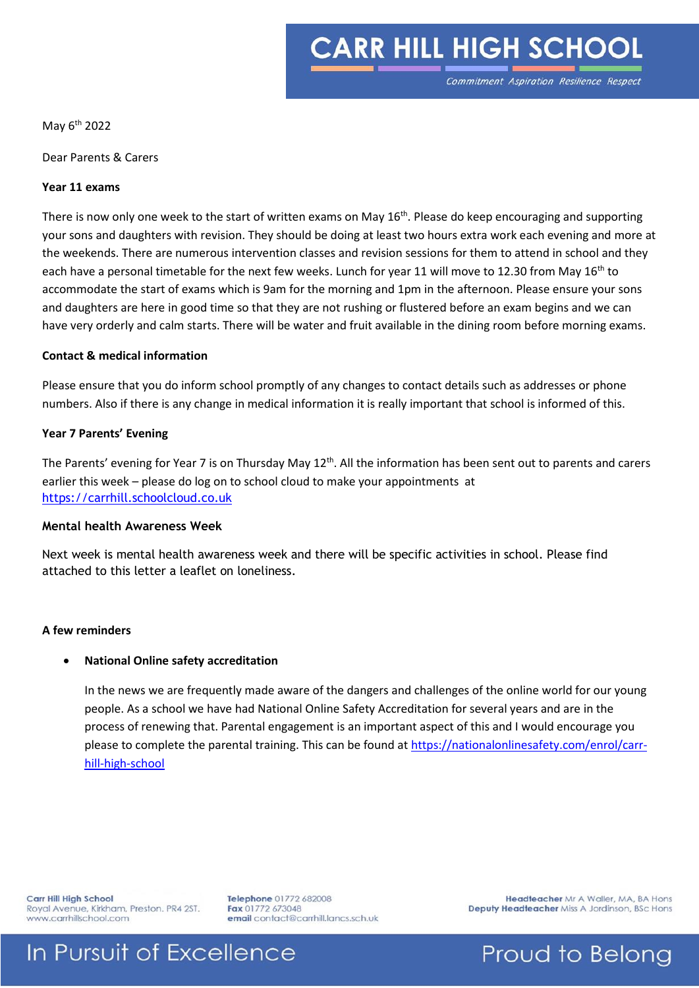# **CARR HILL HIGH SCHOOL**

Commitment Aspiration Resilience Respect

May 6th 2022

Dear Parents & Carers

#### **Year 11 exams**

There is now only one week to the start of written exams on May  $16<sup>th</sup>$ . Please do keep encouraging and supporting your sons and daughters with revision. They should be doing at least two hours extra work each evening and more at the weekends. There are numerous intervention classes and revision sessions for them to attend in school and they each have a personal timetable for the next few weeks. Lunch for year 11 will move to 12.30 from May 16<sup>th</sup> to accommodate the start of exams which is 9am for the morning and 1pm in the afternoon. Please ensure your sons and daughters are here in good time so that they are not rushing or flustered before an exam begins and we can have very orderly and calm starts. There will be water and fruit available in the dining room before morning exams.

#### **Contact & medical information**

Please ensure that you do inform school promptly of any changes to contact details such as addresses or phone numbers. Also if there is any change in medical information it is really important that school is informed of this.

#### **Year 7 Parents' Evening**

The Parents' evening for Year 7 is on Thursday May 12<sup>th</sup>. All the information has been sent out to parents and carers earlier this week – please do log on to school cloud to make your appointments at [https://carrhill.schoolcloud.co.uk](https://eu-west-1.protection.sophos.com/?d=schoolcloud.co.uk&u=aHR0cHM6Ly9jYXJyaGlsbC5zY2hvb2xjbG91ZC5jby51aw==&i=NWU4NzJkZTE5NjdlODgwZGUxZjE3OGVh&t=emdGRWtnSmtsTkZLTG5qQVVia3ZGcnFISU4zbVA1aFUzYUVQNnNPYjkrcz0=&h=f62ebb855a414aaf93dc7ddc57bb7d13)

#### **Mental health Awareness Week**

Next week is mental health awareness week and there will be specific activities in school. Please find attached to this letter a leaflet on loneliness.

#### **A few reminders**

#### **National Online safety accreditation**

In the news we are frequently made aware of the dangers and challenges of the online world for our young people. As a school we have had National Online Safety Accreditation for several years and are in the process of renewing that. Parental engagement is an important aspect of this and I would encourage you please to complete the parental training. This can be found at [https://nationalonlinesafety.com/enrol/carr](https://nationalonlinesafety.com/enrol/carr-hill-high-school)[hill-high-school](https://nationalonlinesafety.com/enrol/carr-hill-high-school)

Carr Hill High School Royal Avenue, Kirkham, Preston. PR4 2ST. www.carrhillschool.com

Telephone 01772 682008 Fax 01772 673048 email contact@carrhill.lancs.sch.uk

Headteacher Mr A Waller, MA, BA Hons Deputy Headteacher Miss A Jordinson, BSc Hons

### In Pursuit of Excellence

Proud to Belong